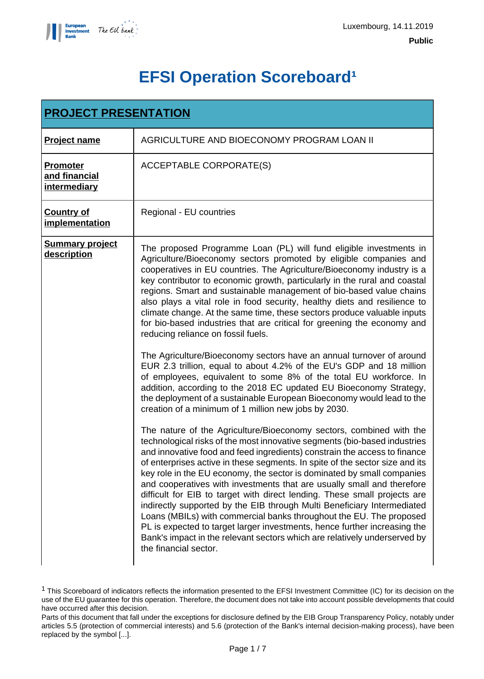

# **EFSI Operation Scoreboard<sup>1</sup>**

| <b>PROJECT PRESENTATION</b>                      |                                                                                                                                                                                                                                                                                                                                                                                                                                                                                                                                                                                                                                                                                                                                                                                                                                                                                     |
|--------------------------------------------------|-------------------------------------------------------------------------------------------------------------------------------------------------------------------------------------------------------------------------------------------------------------------------------------------------------------------------------------------------------------------------------------------------------------------------------------------------------------------------------------------------------------------------------------------------------------------------------------------------------------------------------------------------------------------------------------------------------------------------------------------------------------------------------------------------------------------------------------------------------------------------------------|
| <b>Project name</b>                              | AGRICULTURE AND BIOECONOMY PROGRAM LOAN II                                                                                                                                                                                                                                                                                                                                                                                                                                                                                                                                                                                                                                                                                                                                                                                                                                          |
| Promoter<br>and financial<br><i>intermediary</i> | <b>ACCEPTABLE CORPORATE(S)</b>                                                                                                                                                                                                                                                                                                                                                                                                                                                                                                                                                                                                                                                                                                                                                                                                                                                      |
| <b>Country of</b><br><i>implementation</i>       | Regional - EU countries                                                                                                                                                                                                                                                                                                                                                                                                                                                                                                                                                                                                                                                                                                                                                                                                                                                             |
| <b>Summary project</b><br>description            | The proposed Programme Loan (PL) will fund eligible investments in<br>Agriculture/Bioeconomy sectors promoted by eligible companies and<br>cooperatives in EU countries. The Agriculture/Bioeconomy industry is a<br>key contributor to economic growth, particularly in the rural and coastal<br>regions. Smart and sustainable management of bio-based value chains<br>also plays a vital role in food security, healthy diets and resilience to<br>climate change. At the same time, these sectors produce valuable inputs<br>for bio-based industries that are critical for greening the economy and<br>reducing reliance on fossil fuels.                                                                                                                                                                                                                                      |
|                                                  | The Agriculture/Bioeconomy sectors have an annual turnover of around<br>EUR 2.3 trillion, equal to about 4.2% of the EU's GDP and 18 million<br>of employees, equivalent to some 8% of the total EU workforce. In<br>addition, according to the 2018 EC updated EU Bioeconomy Strategy,<br>the deployment of a sustainable European Bioeconomy would lead to the<br>creation of a minimum of 1 million new jobs by 2030.                                                                                                                                                                                                                                                                                                                                                                                                                                                            |
|                                                  | The nature of the Agriculture/Bioeconomy sectors, combined with the<br>technological risks of the most innovative segments (bio-based industries<br>and innovative food and feed ingredients) constrain the access to finance<br>of enterprises active in these segments. In spite of the sector size and its<br>key role in the EU economy, the sector is dominated by small companies<br>and cooperatives with investments that are usually small and therefore<br>difficult for EIB to target with direct lending. These small projects are<br>indirectly supported by the EIB through Multi Beneficiary Intermediated<br>Loans (MBILs) with commercial banks throughout the EU. The proposed<br>PL is expected to target larger investments, hence further increasing the<br>Bank's impact in the relevant sectors which are relatively underserved by<br>the financial sector. |

<sup>1</sup> This Scoreboard of indicators reflects the information presented to the EFSI Investment Committee (IC) for its decision on the use of the EU guarantee for this operation. Therefore, the document does not take into account possible developments that could have occurred after this decision.

Parts of this document that fall under the exceptions for disclosure defined by the EIB Group Transparency Policy, notably under articles 5.5 (protection of commercial interests) and 5.6 (protection of the Bank's internal decision-making process), have been replaced by the symbol [...].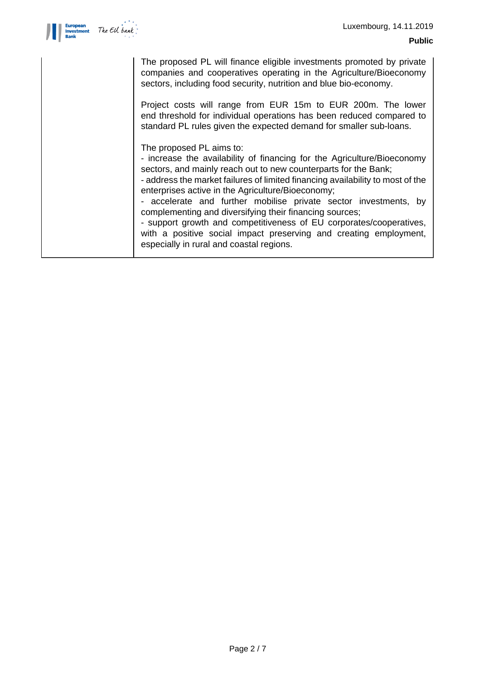

| The proposed PL will finance eligible investments promoted by private<br>companies and cooperatives operating in the Agriculture/Bioeconomy<br>sectors, including food security, nutrition and blue bio-economy.                                                                                                                                                                                                                                                                                                                                                                                                                     |
|--------------------------------------------------------------------------------------------------------------------------------------------------------------------------------------------------------------------------------------------------------------------------------------------------------------------------------------------------------------------------------------------------------------------------------------------------------------------------------------------------------------------------------------------------------------------------------------------------------------------------------------|
| Project costs will range from EUR 15m to EUR 200m. The lower<br>end threshold for individual operations has been reduced compared to<br>standard PL rules given the expected demand for smaller sub-loans.                                                                                                                                                                                                                                                                                                                                                                                                                           |
| The proposed PL aims to:<br>- increase the availability of financing for the Agriculture/Bioeconomy<br>sectors, and mainly reach out to new counterparts for the Bank;<br>- address the market failures of limited financing availability to most of the<br>enterprises active in the Agriculture/Bioeconomy;<br>- accelerate and further mobilise private sector investments, by<br>complementing and diversifying their financing sources;<br>- support growth and competitiveness of EU corporates/cooperatives,<br>with a positive social impact preserving and creating employment,<br>especially in rural and coastal regions. |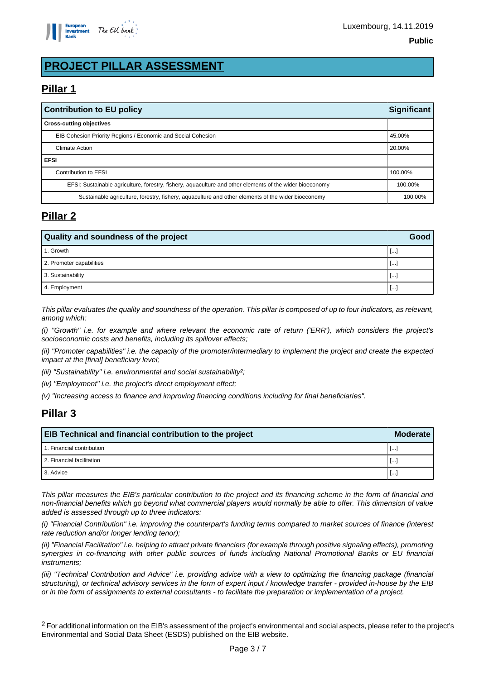

# **PROJECT PILLAR ASSESSMENT**

## **Pillar 1**

| <b>Significant</b><br><b>Contribution to EU policy</b>                                                   |         |
|----------------------------------------------------------------------------------------------------------|---------|
| <b>Cross-cutting objectives</b>                                                                          |         |
| EIB Cohesion Priority Regions / Economic and Social Cohesion                                             | 45.00%  |
| <b>Climate Action</b>                                                                                    | 20.00%  |
| <b>EFSI</b>                                                                                              |         |
| Contribution to EFSI                                                                                     | 100.00% |
| EFSI: Sustainable agriculture, forestry, fishery, aquaculture and other elements of the wider bioeconomy | 100.00% |
| Sustainable agriculture, forestry, fishery, aquaculture and other elements of the wider bioeconomy       | 100.00% |

## **Pillar 2**

| Quality and soundness of the project |                          |  |
|--------------------------------------|--------------------------|--|
| 1. Growth                            | $\lfloor \cdots \rfloor$ |  |
| 2. Promoter capabilities             | $\lfloor \cdots \rfloor$ |  |
| 3. Sustainability                    | -1000                    |  |
| 4. Employment                        | l…                       |  |

This pillar evaluates the quality and soundness of the operation. This pillar is composed of up to four indicators, as relevant, among which:

(i) "Growth" i.e. for example and where relevant the economic rate of return ('ERR'), which considers the project's socioeconomic costs and benefits, including its spillover effects;

(ii) "Promoter capabilities" i.e. the capacity of the promoter/intermediary to implement the project and create the expected impact at the [final] beneficiary level;

(iii) "Sustainability" i.e. environmental and social sustainability?;

(iv) "Employment" i.e. the project's direct employment effect;

(v) "Increasing access to finance and improving financing conditions including for final beneficiaries".

## **Pillar 3**

| <b>EIB Technical and financial contribution to the project</b> |           |  |
|----------------------------------------------------------------|-----------|--|
| 1. Financial contribution                                      | <b>L.</b> |  |
| 2. Financial facilitation                                      | ĿH.       |  |
| 3. Advice                                                      | <b>L.</b> |  |

This pillar measures the EIB's particular contribution to the project and its financing scheme in the form of financial and non-financial benefits which go beyond what commercial players would normally be able to offer. This dimension of value added is assessed through up to three indicators:

(i) "Financial Contribution" i.e. improving the counterpart's funding terms compared to market sources of finance (interest rate reduction and/or longer lending tenor);

(ii) "Financial Facilitation" i.e. helping to attract private financiers (for example through positive signaling effects), promoting synergies in co-financing with other public sources of funds including National Promotional Banks or EU financial instruments;

(iii) "Technical Contribution and Advice" i.e. providing advice with a view to optimizing the financing package (financial structuring), or technical advisory services in the form of expert input / knowledge transfer - provided in-house by the EIB or in the form of assignments to external consultants - to facilitate the preparation or implementation of a project.

<sup>2</sup> For additional information on the EIB's assessment of the project's environmental and social aspects, please refer to the project's Environmental and Social Data Sheet (ESDS) published on the EIB website.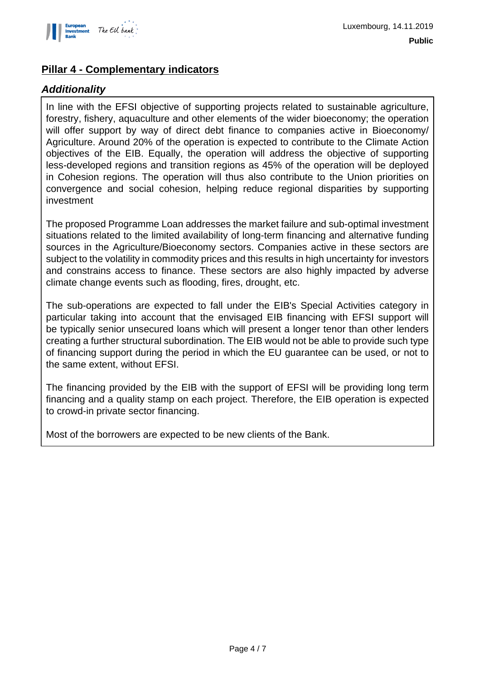

## **Pillar 4 - Complementary indicators**

## **Additionality**

In line with the EFSI objective of supporting projects related to sustainable agriculture, forestry, fishery, aquaculture and other elements of the wider bioeconomy; the operation will offer support by way of direct debt finance to companies active in Bioeconomy/ Agriculture. Around 20% of the operation is expected to contribute to the Climate Action objectives of the EIB. Equally, the operation will address the objective of supporting less-developed regions and transition regions as 45% of the operation will be deployed in Cohesion regions. The operation will thus also contribute to the Union priorities on convergence and social cohesion, helping reduce regional disparities by supporting investment

The proposed Programme Loan addresses the market failure and sub-optimal investment situations related to the limited availability of long-term financing and alternative funding sources in the Agriculture/Bioeconomy sectors. Companies active in these sectors are subject to the volatility in commodity prices and this results in high uncertainty for investors and constrains access to finance. These sectors are also highly impacted by adverse climate change events such as flooding, fires, drought, etc.

The sub-operations are expected to fall under the EIB's Special Activities category in particular taking into account that the envisaged EIB financing with EFSI support will be typically senior unsecured loans which will present a longer tenor than other lenders creating a further structural subordination. The EIB would not be able to provide such type of financing support during the period in which the EU guarantee can be used, or not to the same extent, without EFSI.

The financing provided by the EIB with the support of EFSI will be providing long term financing and a quality stamp on each project. Therefore, the EIB operation is expected to crowd-in private sector financing.

Most of the borrowers are expected to be new clients of the Bank.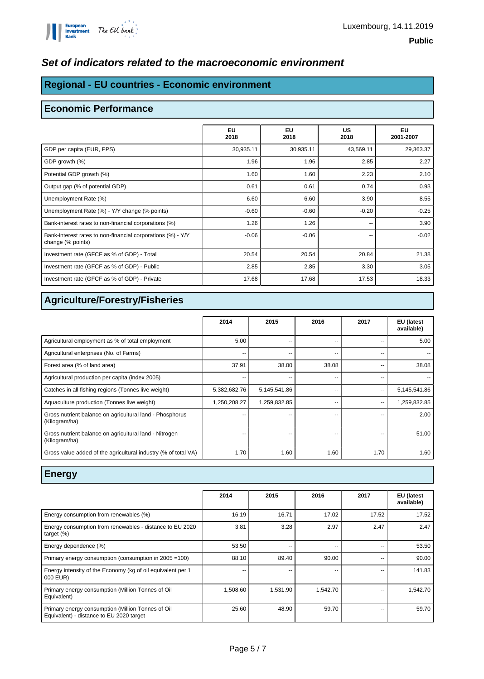

#### **Set of indicators related to the macroeconomic environment**

## **Regional - EU countries - Economic environment**

#### **Economic Performance**

|                                                                                  | EU<br>2018 | <b>EU</b><br>2018 | US<br>2018 | EU<br>2001-2007 |
|----------------------------------------------------------------------------------|------------|-------------------|------------|-----------------|
| GDP per capita (EUR, PPS)                                                        | 30,935.11  | 30,935.11         | 43,569.11  | 29,363.37       |
| GDP growth (%)                                                                   | 1.96       | 1.96              | 2.85       | 2.27            |
| Potential GDP growth (%)                                                         | 1.60       | 1.60              | 2.23       | 2.10            |
| Output gap (% of potential GDP)                                                  | 0.61       | 0.61              | 0.74       | 0.93            |
| Unemployment Rate (%)                                                            | 6.60       | 6.60              | 3.90       | 8.55            |
| Unemployment Rate (%) - Y/Y change (% points)                                    | $-0.60$    | $-0.60$           | $-0.20$    | $-0.25$         |
| Bank-interest rates to non-financial corporations (%)                            | 1.26       | 1.26              | --         | 3.90            |
| Bank-interest rates to non-financial corporations (%) - Y/Y<br>change (% points) | $-0.06$    | $-0.06$           | --         | $-0.02$         |
| Investment rate (GFCF as % of GDP) - Total                                       | 20.54      | 20.54             | 20.84      | 21.38           |
| Investment rate (GFCF as % of GDP) - Public                                      | 2.85       | 2.85              | 3.30       | 3.05            |
| Investment rate (GFCF as % of GDP) - Private                                     | 17.68      | 17.68             | 17.53      | 18.33           |

## **Agriculture/Forestry/Fisheries**

|                                                                           | 2014         | 2015         | 2016  | 2017 | EU (latest<br>available) |
|---------------------------------------------------------------------------|--------------|--------------|-------|------|--------------------------|
| Agricultural employment as % of total employment                          | 5.00         | --           | --    |      | 5.00                     |
| Agricultural enterprises (No. of Farms)                                   | --           | --           | --    | --   |                          |
| Forest area (% of land area)                                              | 37.91        | 38.00        | 38.08 |      | 38.08                    |
| Agricultural production per capita (index 2005)                           | --           |              | --    |      |                          |
| Catches in all fishing regions (Tonnes live weight)                       | 5,382,682.76 | 5,145,541.86 | --    | --   | 5,145,541.86             |
| Aquaculture production (Tonnes live weight)                               | 1,250,208.27 | 1,259,832.85 | --    | --   | 1,259,832.85             |
| Gross nutrient balance on agricultural land - Phosphorus<br>(Kilogram/ha) | --           |              | --    |      | 2.00                     |
| Gross nutrient balance on agricultural land - Nitrogen<br>(Kilogram/ha)   | --           | --           | --    | --   | 51.00                    |
| Gross value added of the agricultural industry (% of total VA)            | 1.70         | 1.60         | 1.60  | 1.70 | 1.60                     |

#### **Energy**

|                                                                                               | 2014     | 2015     | 2016     | 2017  | <b>EU</b> (latest<br>available) |
|-----------------------------------------------------------------------------------------------|----------|----------|----------|-------|---------------------------------|
| Energy consumption from renewables (%)                                                        | 16.19    | 16.71    | 17.02    | 17.52 | 17.52                           |
| Energy consumption from renewables - distance to EU 2020<br>target $(\%)$                     | 3.81     | 3.28     | 2.97     | 2.47  | 2.47                            |
| Energy dependence (%)                                                                         | 53.50    | --       | --       |       | 53.50                           |
| Primary energy consumption (consumption in 2005 = 100)                                        | 88.10    | 89.40    | 90.00    |       | 90.00                           |
| Energy intensity of the Economy (kg of oil equivalent per 1<br>000 EUR)                       | --       |          | --       | --    | 141.83                          |
| Primary energy consumption (Million Tonnes of Oil<br>Equivalent)                              | 1,508.60 | 1,531.90 | 1,542.70 | --    | 1,542.70                        |
| Primary energy consumption (Million Tonnes of Oil<br>Equivalent) - distance to EU 2020 target | 25.60    | 48.90    | 59.70    |       | 59.70                           |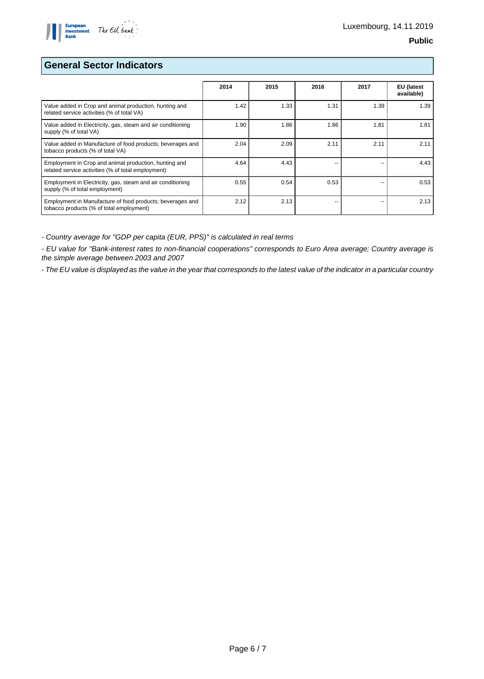

#### **General Sector Indicators**

|                                                                                                             | 2014 | 2015 | 2016 | 2017 | <b>EU</b> (latest<br>available) |
|-------------------------------------------------------------------------------------------------------------|------|------|------|------|---------------------------------|
| Value added in Crop and animal production, hunting and<br>related service activities (% of total VA)        | 1.42 | 1.33 | 1.31 | 1.39 | 1.39                            |
| Value added in Electricity, gas, steam and air conditioning<br>supply (% of total VA)                       | 1.90 | 1.86 | 1.86 | 1.81 | 1.81                            |
| Value added in Manufacture of food products; beverages and<br>tobacco products (% of total VA)              | 2.04 | 2.09 | 2.11 | 2.11 | 2.11                            |
| Employment in Crop and animal production, hunting and<br>related service activities (% of total employment) | 4.64 | 4.43 | --   |      | 4.43                            |
| Employment in Electricity, gas, steam and air conditioning<br>supply (% of total employment)                | 0.55 | 0.54 | 0.53 | --   | 0.53                            |
| Employment in Manufacture of food products; beverages and<br>tobacco products (% of total employment)       | 2.12 | 2.13 | --   |      | 2.13                            |

- Country average for "GDP per capita (EUR, PPS)" is calculated in real terms

- EU value for "Bank-interest rates to non-financial cooperations" corresponds to Euro Area average; Country average is the simple average between 2003 and 2007

- The EU value is displayed as the value in the year that corresponds to the latest value of the indicator in a particular country